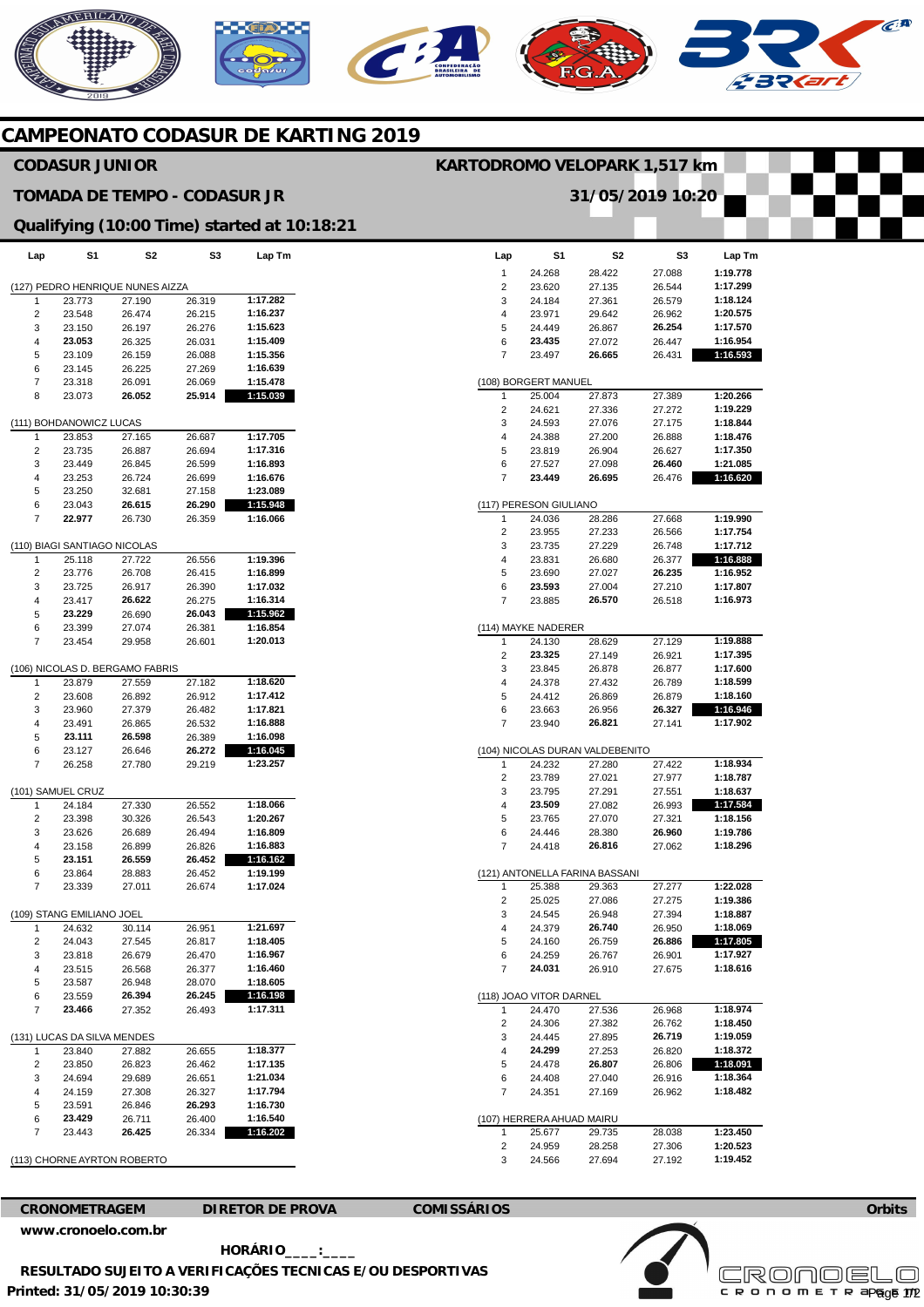## **MERICANO**

**CAMPEONATO CODASUR DE KARTING 2019** 

## **Lap**  1  $\overline{2}$ 3 4 5 6 7 (108) BORGERT MANUEL 1 2 3 4 5 6 7 (117) PERESON GIULIANO 1  $\overline{2}$ 3 4 5 6 7 (114) MAYKE NADERER 1 2 3 4 5 6 7 (104) NICOLAS DURAN VALDEBENITO 1  $\overline{2}$ 3 4 5 6 7 (121) ANTONELLA FARINA BASSANI 1  $\overline{2}$ 3 4 5 6 7 (118) JOAO VITOR DARNEL 1 2 3 4 5 6 7 (107) HERRERA AHUAD MAIRU 1 2 3 **S1**  24.268 23.620 24.184 23.971 24.449 **23.435**  23.497 25.004 24.621 24.593 24.388 23.819 27.527 **23.449**  24.036 23.955 23.735 23.831 23.690 **23.593**  23.885 24.130 **23.325**  23.845 24.378 24.412 23.663 23.940 24.232 23.789 23.795 **23.509**  23.765 24.446 24.418 25.388 25.025 24.545 24.379 24.160 24.259 **24.031**  24.470 24.306 24.445 **24.299**  24.478 24.408 24.351 25.677 24.959 24.566 **S2**  28.422 27.135 27.361 29.642 26.867 27.072 **26.665**  27.873 27.336 27.076 27.200 26.904 27.098 **26.695**  28.286 27.233 27.229 26.680 27.027 27.004 **26.570**  28.629 27.149 26.878 27.432 26.869 26.956 **26.821**  27.280 27.021 27.291 27.082 27.070 28.380 **26.816**  29.363 27.086 26.948 **26.740**  26.759 26.767 26.910 27.536 27.382 27.895 27.253 **26.807**  27.040 27.169 29.735 28.258 27.694 **S3**  27.088 26.544 26.579 26.962 **26.254**  26.447 26.431 27.389 27.272 27.175 26.888 26.627 **26.460**  26.476 27.668 26.566 26.748 26.377 **26.235**  27.210 26.518 27.129 26.921 26.877 26.789 26.879 **26.327**  27.141 27.422 27.977 27.551 26.993 27.321 **26.960**  27.062 27.277 27.275 27.394 26.950 **26.886**  26.901 27.675 26.968 26.762 **26.719**  26.820 26.806 26.916 26.962 28.038 27.306 27.192 **Lap Tm 1:19.778 1:17.299 1:18.124 1:20.575 1:17.570 1:16.954 1:16.593 1:20.266 1:19.229 1:18.844 1:18.476 1:17.350 1:21.085 1:16.620 1:19.990 1:17.754 1:17.712 1:16.888 1:16.952 1:17.807 1:16.973 1:19.888 1:17.395 1:17.600 1:18.599 1:18.160 1:16.946 1:17.902 1:18.934 1:18.787 1:18.637 1:17.584 1:18.156 1:19.786 1:18.296 1:22.028 1:19.386 1:18.887 1:18.069 1:17.805 1:17.927 1:18.616 1:18.974 1:18.450 1:19.059 1:18.372 1:18.091 1:18.364 1:18.482 1:23.450 1:20.523 1:19.452 Lap**  (127) PEDRO HENRIQUE NUNES AIZZA 1 2 3 4 5 6 7 8 (111) BOHDANOWICZ LUCAS 1 2 3 4 5 6 7 (110) BIAGI SANTIAGO NICOLAS 1  $\overline{2}$  $\overline{3}$ 4 5 6 7 (106) NICOLAS D. BERGAMO FABRIS 1  $\mathcal{D}$ 3 4 5 6 7 (101) SAMUEL CRUZ 1 2 3 4 5 6 7 (109) STANG EMILIANO JOEL 1 2 3 4 5 6 7 (131) LUCAS DA SILVA MENDES 1  $\overline{2}$ 3 4 5 6 7 (113) CHORNE AYRTON ROBERTO **S1**  23.773 23.548 23.150 **23.053**  23.109 23.145 23.318 23.073 23.853 23.735 23.449 23.253 23.250 23.043 **22.977**  25.118 23.776 23.725 23.417 **23.229**  23.399 23.454 23.879 23.608 23.960 23.491 **23.111**  23.127 26.258 24.184 23.398 23.626 23.158 **23.151**  23.864 23.339 24.632 24.043 23.818 23.515 23.587 23.559 **23.466**  23.840 23.850 24.694 24.159 23.591 **23.429**  23.443 **S2**  27.190 26.474 26.197 26.325 26.159 26.225 26.091 **26.052**  27.165 26.887 26.845 26.724 32.681 **26.615**  26.730 27.722 26.708 26.917 **26.622**  26.690 27.074 29.958 27.559 26.892 27.379 26.865 **26.598**  26.646 27.780 27.330 30.326 26.689 26.899 **26.559**  28.883 27.011 30.114 27.545 26.679 26.568 26.948 **26.394**  27.352 27.882 26.823 29.689 27.308 26.846 26.711 **26.425 S3**  26.319 26.215 26.276 26.031 26.088 27.269 26.069 **25.914**  26.687 26.694 26.599 26.699 27.158 **26.290**  26.359 26.556 26.415 26.390 26.275 **26.043**  26.381 26.601 27.182 26.912 26.482 26.532 26.389 **26.272**  29.219 26.552 26.543 26.494 26.826 **26.452**  26.452 26.674 26.951 26.817 26.470 26.377 28.070 **26.245**  26.493 26.655 26.462 26.651 26.327 **26.293**  26.400 26.334 **Lap Tm 1:17.282 1:16.237 1:15.623 1:15.409 1:15.356 1:16.639 1:15.478 1:15.039 1:17.705 1:17.316 1:16.893 1:16.676 1:23.089 1:15.948 1:16.066 1:19.396 1:16.899 1:17.032 1:16.314 1:15.962 1:16.854 1:20.013 1:18.620 1:17.412 1:17.821 1:16.888 1:16.098 1:16.045 1:23.257 1:18.066 1:20.267 1:16.809 1:16.883 1:16.162 1:19.199 1:17.024 1:21.697 1:18.405 1:16.967 1:16.460 1:18.605 1:16.198 1:17.311 1:18.377 1:17.135 1:21.034 1:17.794 1:16.730 1:16.540 1:16.202 CRONOMETRAGEM DIRETOR DE PROVA COMISSÁRIOS CODASUR JUNIOR TOMADA DE TEMPO - CODASUR JR Qualifying (10:00 Time) started at 10:18:21 KARTODROMO VELOPARK 1,517 km 31/05/2019 10:20**

**Orbits** 

 $\widehat{C}^{\text{A}}$ 

**Licensed to: Cronoelo** 

c R O N O M E T R apg<sub>0</sub>6 172

**[www.cronoelo.com.br](http://www.cronoelo.com.br)** 

**Printed: 31/05/2019 10:30:39 HORÁRIO\_\_\_\_:\_\_\_\_ RESULTADO SUJEITO A VERIFICAÇÕES TECNICAS E/OU DESPORTIVAS**